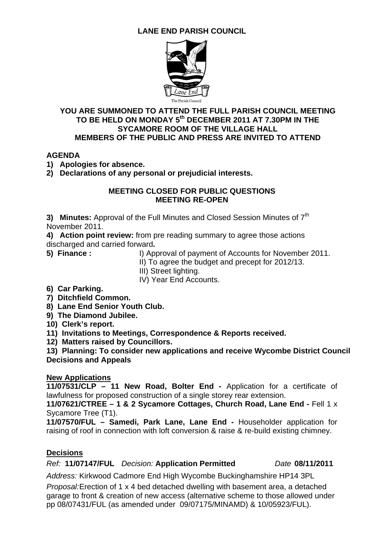## **LANE END PARISH COUNCIL**



#### **YOU ARE SUMMONED TO ATTEND THE FULL PARISH COUNCIL MEETING**  TO BE HELD ON MONDAY 5<sup>th</sup> DECEMBER 2011 AT 7.30PM IN THE **SYCAMORE ROOM OF THE VILLAGE HALL MEMBERS OF THE PUBLIC AND PRESS ARE INVITED TO ATTEND**

## **AGENDA**

**1) Apologies for absence.** 

**2) Declarations of any personal or prejudicial interests.** 

#### **MEETING CLOSED FOR PUBLIC QUESTIONS MEETING RE-OPEN**

**3) Minutes:** Approval of the Full Minutes and Closed Session Minutes of 7<sup>th</sup> November 2011.

**4) Action point review:** from pre reading summary to agree those actions discharged and carried forward**.** 

- 
- **5) Finance :** I) Approval of payment of Accounts for November 2011.
	- II) To agree the budget and precept for 2012/13.
	- III) Street lighting.

IV) Year End Accounts.

- **6) Car Parking.**
- **7) Ditchfield Common.**
- **8) Lane End Senior Youth Club.**
- **9) The Diamond Jubilee.**

**10) Clerk's report.**

**11) Invitations to Meetings, Correspondence & Reports received.** 

**12) Matters raised by Councillors.** 

**13) Planning: To consider new applications and receive Wycombe District Council Decisions and Appeals** 

## **New Applications**

**11/07531/CLP – 11 New Road, Bolter End -** Application for a certificate of lawfulness for proposed construction of a single storey rear extension.

**11/07621/CTREE – 1 & 2 Sycamore Cottages, Church Road, Lane End -** Fell 1 x Sycamore Tree (T1).

**11/07570/FUL – Samedi, Park Lane, Lane End -** Householder application for raising of roof in connection with loft conversion & raise & re-build existing chimney.

## **Decisions**

## *Ref:* **11/07147/FUL** *Decision:* **Application Permitted** *Date* **08/11/2011**

*Address:* Kirkwood Cadmore End High Wycombe Buckinghamshire HP14 3PL

*Proposal:*Erection of 1 x 4 bed detached dwelling with basement area, a detached garage to front & creation of new access (alternative scheme to those allowed under pp 08/07431/FUL (as amended under 09/07175/MINAMD) & 10/05923/FUL).